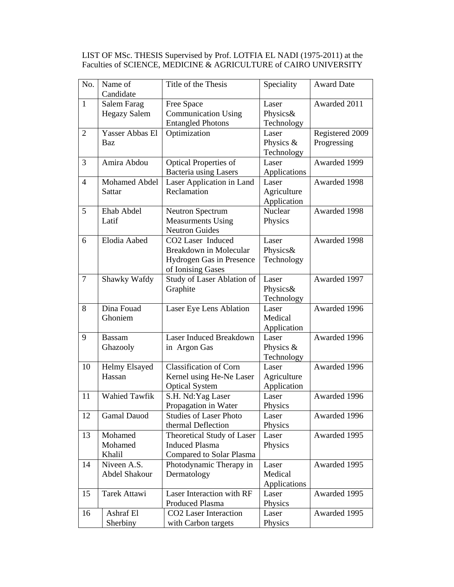LIST OF MSc. THESIS Supervised by Prof. LOTFIA EL NADI (1975-2011) at the Faculties of SCIENCE, MEDICINE & AGRICULTURE of CAIRO UNIVERSITY

| No.            | Name of<br>Candidate               | Title of the Thesis                                                                          | Speciality                          | <b>Award Date</b>              |
|----------------|------------------------------------|----------------------------------------------------------------------------------------------|-------------------------------------|--------------------------------|
| $\mathbf{1}$   | Salem Farag<br><b>Hegazy Salem</b> | Free Space<br><b>Communication Using</b><br><b>Entangled Photons</b>                         | Laser<br>Physics&<br>Technology     | Awarded 2011                   |
| 2              | Yasser Abbas El<br>Baz             | Optimization                                                                                 | Laser<br>Physics &<br>Technology    | Registered 2009<br>Progressing |
| $\overline{3}$ | Amira Abdou                        | <b>Optical Properties of</b><br><b>Bacteria</b> using Lasers                                 | Laser<br>Applications               | Awarded 1999                   |
| $\overline{4}$ | Mohamed Abdel<br>Sattar            | Laser Application in Land<br>Reclamation                                                     | Laser<br>Agriculture<br>Application | Awarded 1998                   |
| 5              | Ehab Abdel<br>Latif                | <b>Neutron Spectrum</b><br><b>Measurments Using</b><br><b>Neutron Guides</b>                 | Nuclear<br>Physics                  | Awarded 1998                   |
| 6              | Elodia Aabed                       | CO2 Laser Induced<br>Breakdown in Molecular<br>Hydrogen Gas in Presence<br>of Ionising Gases | Laser<br>Physics&<br>Technology     | Awarded 1998                   |
| $\overline{7}$ | Shawky Wafdy                       | Study of Laser Ablation of<br>Graphite                                                       | Laser<br>Physics&<br>Technology     | Awarded 1997                   |
| 8              | Dina Fouad<br>Ghoniem              | Laser Eye Lens Ablation                                                                      | Laser<br>Medical<br>Application     | Awarded 1996                   |
| 9              | <b>Bassam</b><br>Ghazooly          | Laser Induced Breakdown<br>in Argon Gas                                                      | Laser<br>Physics &<br>Technology    | Awarded 1996                   |
| 10             | Helmy Elsayed<br>Hassan            | <b>Classification of Corn</b><br>Kernel using He-Ne Laser<br><b>Optical System</b>           | Laser<br>Agriculture<br>Application | Awarded 1996                   |
| 11             | <b>Wahied Tawfik</b>               | S.H. Nd: Yag Laser<br>Propagation in Water                                                   | Laser<br>Physics                    | Awarded 1996                   |
| 12             | <b>Gamal Dauod</b>                 | <b>Studies of Laser Photo</b><br>thermal Deflection                                          | Laser<br>Physics                    | Awarded 1996                   |
| 13             | Mohamed<br>Mohamed<br>Khalil       | Theoretical Study of Laser<br><b>Induced Plasma</b><br><b>Compared to Solar Plasma</b>       | Laser<br>Physics                    | Awarded 1995                   |
| 14             | Niveen A.S.<br>Abdel Shakour       | Photodynamic Therapy in<br>Dermatology                                                       | Laser<br>Medical<br>Applications    | Awarded 1995                   |
| 15             | Tarek Attawi                       | Laser Interaction with RF<br>Produced Plasma                                                 | Laser<br>Physics                    | Awarded 1995                   |
| 16             | Ashraf El<br>Sherbiny              | CO2 Laser Interaction<br>with Carbon targets                                                 | Laser<br>Physics                    | Awarded 1995                   |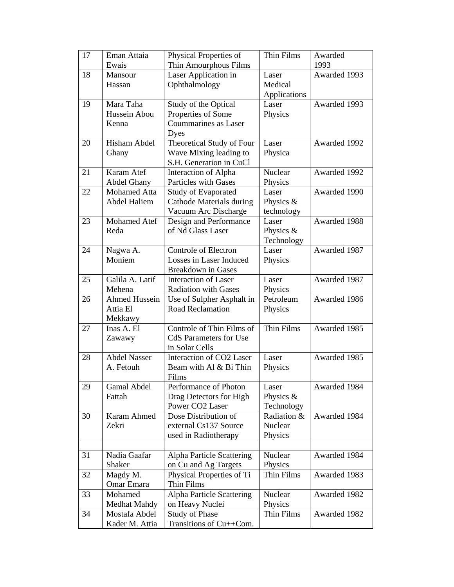| 17 | Eman Attaia          | Physical Properties of                          | Thin Films              | Awarded      |
|----|----------------------|-------------------------------------------------|-------------------------|--------------|
|    | Ewais                | Thin Amourphous Films                           |                         | 1993         |
| 18 | Mansour              | Laser Application in                            | Laser                   | Awarded 1993 |
|    | Hassan               | Ophthalmology                                   | Medical                 |              |
|    | Mara Taha            |                                                 | Applications            |              |
| 19 | Hussein Abou         | Study of the Optical<br>Properties of Some      | Laser                   | Awarded 1993 |
|    | Kenna                | Coummarines as Laser                            | Physics                 |              |
|    |                      | Dyes                                            |                         |              |
| 20 | Hisham Abdel         | Theoretical Study of Four                       | Laser                   | Awarded 1992 |
|    | Ghany                | Wave Mixing leading to                          | Physica                 |              |
|    |                      | S.H. Generation in CuCl                         |                         |              |
| 21 | Karam Atef           | Interaction of Alpha                            | Nuclear                 | Awarded 1992 |
|    | <b>Abdel Ghany</b>   | <b>Particles with Gases</b>                     | Physics                 |              |
| 22 | Mohamed Atta         | Study of Evaporated                             | Laser                   | Awarded 1990 |
|    | Abdel Haliem         | Cathode Materials during                        | Physics &               |              |
|    |                      | Vacuum Arc Discharge                            | technology              |              |
| 23 | Mohamed Atef<br>Reda | Design and Performance<br>of Nd Glass Laser     | Laser                   | Awarded 1988 |
|    |                      |                                                 | Physics &<br>Technology |              |
| 24 | Nagwa A.             | <b>Controle of Electron</b>                     | Laser                   | Awarded 1987 |
|    | Moniem               | Losses in Laser Induced                         | Physics                 |              |
|    |                      | <b>Breakdown</b> in Gases                       |                         |              |
| 25 | Galila A. Latif      | <b>Interaction of Laser</b>                     | Laser                   | Awarded 1987 |
|    | Mehena               | <b>Radiation with Gases</b>                     | Physics                 |              |
| 26 | <b>Ahmed Hussein</b> | Use of Sulpher Asphalt in                       | Petroleum               | Awarded 1986 |
|    | Attia El             | <b>Road Reclamation</b>                         | Physics                 |              |
|    | Mekkawy              |                                                 |                         |              |
| 27 | Inas A. El           | Controle of Thin Films of                       | Thin Films              | Awarded 1985 |
|    | Zawawy               | <b>CdS</b> Parameters for Use<br>in Solar Cells |                         |              |
| 28 | <b>Abdel Nasser</b>  | Interaction of CO2 Laser                        | Laser                   | Awarded 1985 |
|    | A. Fetouh            | Beam with Al & Bi Thin                          | Physics                 |              |
|    |                      | Films                                           |                         |              |
| 29 | Gamal Abdel          | Performance of Photon                           | Laser                   | Awarded 1984 |
|    | Fattah               | Drag Detectors for High                         | Physics &               |              |
|    |                      | Power CO2 Laser                                 | Technology              |              |
| 30 | Karam Ahmed          | Dose Distribution of                            | Radiation &             | Awarded 1984 |
|    | Zekri                | external Cs137 Source                           | Nuclear                 |              |
|    |                      | used in Radiotherapy                            | Physics                 |              |
| 31 | Nadia Gaafar         | <b>Alpha Particle Scattering</b>                | Nuclear                 | Awarded 1984 |
|    | Shaker               | on Cu and Ag Targets                            | Physics                 |              |
| 32 | Magdy M.             | Physical Properties of Ti                       | Thin Films              | Awarded 1983 |
|    | Omar Emara           | Thin Films                                      |                         |              |
| 33 | Mohamed              | <b>Alpha Particle Scattering</b>                | Nuclear                 | Awarded 1982 |
|    | <b>Medhat Mahdy</b>  | on Heavy Nuclei                                 | Physics                 |              |
| 34 | Mostafa Abdel        | <b>Study of Phase</b>                           | Thin Films              | Awarded 1982 |
|    | Kader M. Attia       | Transitions of Cu++Com.                         |                         |              |